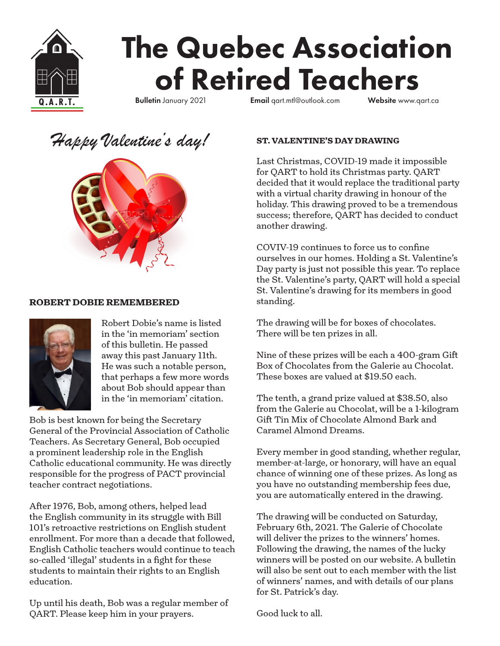

# The Quebec Association of Retired Teachers

**Q.A.R.T.** Bulletin January 2021 Email qart.mtl@outlook.com Website www.qart.ca

# *Happy Valentine's day!*



# **ROBERT DOBIE REMEMBERED**



Robert Dobie's name is listed in the 'in memoriam' section of this bulletin. He passed away this past January 11th. He was such a notable person, that perhaps a few more words about Bob should appear than in the 'in memoriam' citation.

Bob is best known for being the Secretary General of the Provincial Association of Catholic Teachers. As Secretary General, Bob occupied a prominent leadership role in the English Catholic educational community. He was directly responsible for the progress of PACT provincial teacher contract negotiations.

After 1976, Bob, among others, helped lead the English community in its struggle with Bill 101's retroactive restrictions on English student enrollment. For more than a decade that followed, English Catholic teachers would continue to teach so-called 'illegal' students in a fight for these students to maintain their rights to an English education.

Up until his death, Bob was a regular member of QART. Please keep him in your prayers.

## **ST. VALENTINE'S DAY DRAWING**

Last Christmas, COVID-19 made it impossible for QART to hold its Christmas party. QART decided that it would replace the traditional party with a virtual charity drawing in honour of the holiday. This drawing proved to be a tremendous success; therefore, QART has decided to conduct another drawing.

COVIV-19 continues to force us to confine ourselves in our homes. Holding a St. Valentine's Day party is just not possible this year. To replace the St. Valentine's party, QART will hold a special St. Valentine's drawing for its members in good standing.

The drawing will be for boxes of chocolates. There will be ten prizes in all.

Nine of these prizes will be each a 400-gram Gift Box of Chocolates from the Galerie au Chocolat. These boxes are valued at \$19.50 each.

The tenth, a grand prize valued at \$38.50, also from the Galerie au Chocolat, will be a 1-kilogram Gift Tin Mix of Chocolate Almond Bark and Caramel Almond Dreams.

Every member in good standing, whether regular, member-at-large, or honorary, will have an equal chance of winning one of these prizes. As long as you have no outstanding membership fees due, you are automatically entered in the drawing.

The drawing will be conducted on Saturday, February 6th, 2021. The Galerie of Chocolate will deliver the prizes to the winners' homes. Following the drawing, the names of the lucky winners will be posted on our website. A bulletin will also be sent out to each member with the list of winners' names, and with details of our plans for St. Patrick's day.

Good luck to all.